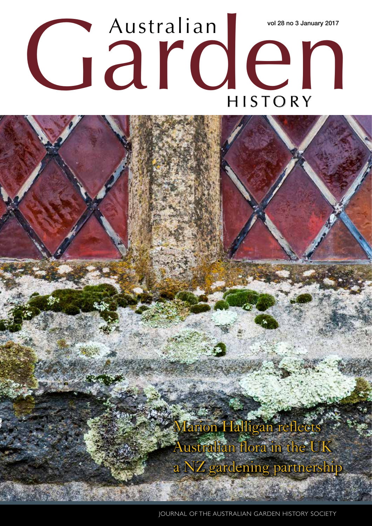# Australian Wol28 no 3 January 2017 Australian vol 28 no 3 January 2017

Marion Halligan reflects Australian flora in the UK a NZ gardening partnership

JOURNAL OF THE AUSTRALIAN GARDEN HISTORY SOCIETY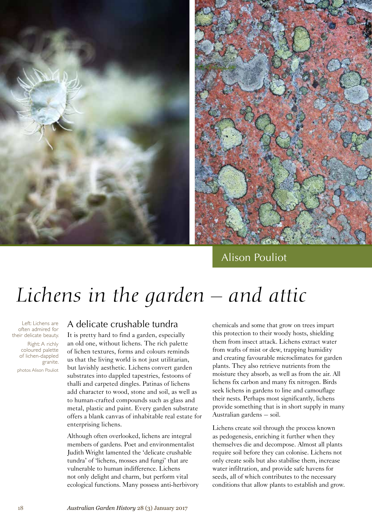

# Alison Pouliot

# *Lichens in the garden – and attic*

Left: Lichens are often admired for their delicate beauty. Right: A richly coloured palette of lichen-dappled granite. photos Alison Pouliot

#### A delicate crushable tundra

It is pretty hard to find a garden, especially an old one, without lichens. The rich palette of lichen textures, forms and colours reminds us that the living world is not just utilitarian, but lavishly aesthetic. Lichens convert garden substrates into dappled tapestries, festoons of thalli and carpeted dingles. Patinas of lichens add character to wood, stone and soil, as well as to human-crafted compounds such as glass and metal, plastic and paint. Every garden substrate offers a blank canvas of inhabitable real estate for enterprising lichens.

Although often overlooked, lichens are integral members of gardens. Poet and environmentalist Judith Wright lamented the 'delicate crushable tundra' of 'lichens, mosses and fungi' that are vulnerable to human indifference. Lichens not only delight and charm, but perform vital ecological functions. Many possess anti-herbivory chemicals and some that grow on trees impart this protection to their woody hosts, shielding them from insect attack. Lichens extract water from wafts of mist or dew, trapping humidity and creating favourable microclimates for garden plants. They also retrieve nutrients from the moisture they absorb, as well as from the air. All lichens fix carbon and many fix nitrogen. Birds seek lichens in gardens to line and camouflage their nests. Perhaps most significantly, lichens provide something that is in short supply in many Australian gardens – soil.

Lichens create soil through the process known as pedogenesis, enriching it further when they themselves die and decompose. Almost all plants require soil before they can colonise. Lichens not only create soils but also stabilise them, increase water infiltration, and provide safe havens for seeds, all of which contributes to the necessary conditions that allow plants to establish and grow.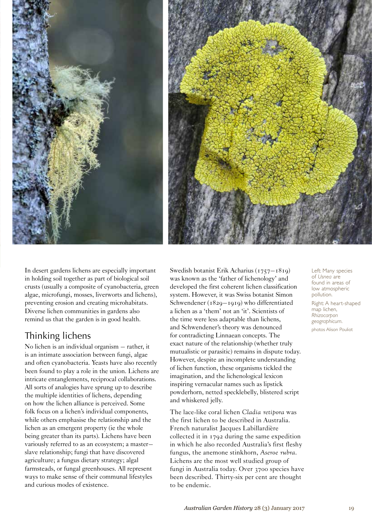



In desert gardens lichens are especially important in holding soil together as part of biological soil crusts (usually a composite of cyanobacteria, green algae, microfungi, mosses, liverworts and lichens), preventing erosion and creating microhabitats. Diverse lichen communities in gardens also remind us that the garden is in good health.

## Thinking lichens

No lichen is an individual organism – rather, it is an intimate association between fungi, algae and often cyanobacteria. Yeasts have also recently been found to play a role in the union. Lichens are intricate entanglements, reciprocal collaborations. All sorts of analogies have sprung up to describe the multiple identities of lichens, depending on how the lichen alliance is perceived. Some folk focus on a lichen's individual components, while others emphasise the relationship and the lichen as an emergent property (ie the whole being greater than its parts). Lichens have been variously referred to as an ecosystem; a master– slave relationship; fungi that have discovered agriculture; a fungus dietary strategy; algal farmsteads, or fungal greenhouses. All represent ways to make sense of their communal lifestyles and curious modes of existence.

Swedish botanist Erik Acharius (1757–1819) was known as the 'father of lichenology' and developed the first coherent lichen classification system. However, it was Swiss botanist Simon Schwendener (1829–1919) who differentiated a lichen as a 'them' not an 'it'. Scientists of the time were less adaptable than lichens, and Schwendener's theory was denounced for contradicting Linnaean concepts. The exact nature of the relationship (whether truly mutualistic or parasitic) remains in dispute today. However, despite an incomplete understanding of lichen function, these organisms tickled the imagination, and the lichenological lexicon inspiring vernacular names such as lipstick powderhorn, netted specklebelly, blistered script and whiskered jelly.

The lace-like coral lichen *Cladia retipora* was the first lichen to be described in Australia. French naturalist Jacques Labillardière collected it in 1792 during the same expedition in which he also recorded Australia's first fleshy fungus, the anemone stinkhorn, *Aseroe rubra*. Lichens are the most well studied group of fungi in Australia today. Over 3700 species have been described. Thirty-six per cent are thought to be endemic.

Left: Many species of *Usnea* are found in areas of low atmospheric pollution.

Right: A heart-shaped map lichen, *Rhizocarpon geographicum*. photos Alison Pouliot